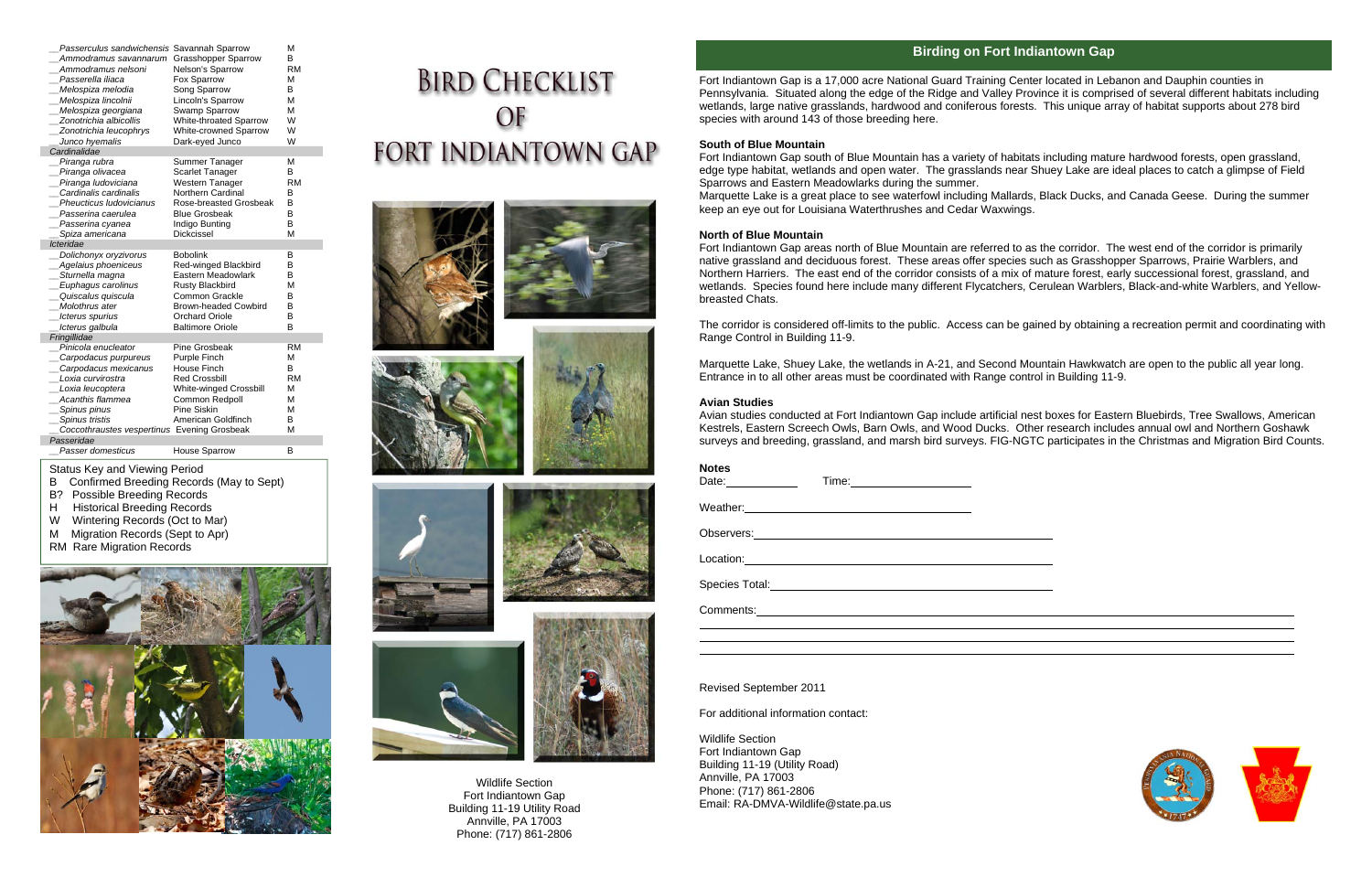Status Key and Viewing Period

B Confirmed Breeding Records (May to Sept)

- B? Possible Breeding Records
- H Historical Breeding Records
- W Wintering Records (Oct to Mar)
- M Migration Records (Sept to Apr)
- RM Rare Migration Records



# **BIRD CHECKLIST** OF **FORT INDIANTOWN GAP**











| Passerculus sandwichensis Savannah Sparrow  |                               | М         |
|---------------------------------------------|-------------------------------|-----------|
| Ammodramus savannarum                       | Grasshopper Sparrow           | B         |
| Ammodramus nelsoni                          | Nelson's Sparrow              | <b>RM</b> |
| Passerella iliaca                           | Fox Sparrow                   | М         |
| Melospiza melodia                           | Song Sparrow                  | в         |
| Melospiza lincolnii                         | Lincoln's Sparrow             | M         |
| Melospiza georgiana                         | Swamp Sparrow                 | M         |
| Zonotrichia albicollis                      | White-throated Sparrow        | W         |
| Zonotrichia leucophrys                      | <b>White-crowned Sparrow</b>  | W         |
| Junco hyemalis                              | Dark-eyed Junco               | W         |
| Cardinalidae                                |                               |           |
| Piranga rubra                               | Summer Tanager                | М         |
| Piranga olivacea                            | <b>Scarlet Tanager</b>        | B         |
| Piranga ludoviciana                         | Western Tanager               | <b>RM</b> |
| Cardinalis cardinalis                       | <b>Northern Cardinal</b>      | B         |
| Pheucticus Iudovicianus                     | Rose-breasted Grosbeak        | B         |
| Passerina caerulea                          | <b>Blue Grosbeak</b>          | B         |
| Passerina cyanea                            | Indigo Bunting                | B         |
| Spiza americana                             | Dickcissel                    | M         |
| Icteridae                                   |                               |           |
| Dolichonyx oryzivorus                       | <b>Bobolink</b>               | в         |
| Agelaius phoeniceus                         | Red-winged Blackbird          | в         |
| Sturnella magna                             | Eastern Meadowlark            | в         |
| _Euphagus carolinus                         | <b>Rusty Blackbird</b>        | М         |
| Quiscalus quiscula                          | <b>Common Grackle</b>         | B         |
| Molothrus ater                              | <b>Brown-headed Cowbird</b>   | в         |
| Icterus spurius                             | Orchard Oriole                | В         |
| Icterus galbula                             | <b>Baltimore Oriole</b>       | B         |
| Fringillidae                                |                               |           |
| Pinicola enucleator                         | Pine Grosbeak                 | <b>RM</b> |
| _Carpodacus purpureus                       | Purple Finch                  | М         |
| Carpodacus mexicanus                        | <b>House Finch</b>            | в         |
| Loxia curvirostra                           | <b>Red Crossbill</b>          | <b>RM</b> |
| Loxia leucoptera                            | <b>White-winged Crossbill</b> | М         |
| Acanthis flammea                            | Common Redpoll                | M         |
| __ Spinus pinus                             | Pine Siskin                   | М         |
| Spinus tristis                              | American Goldfinch            | В         |
| Coccothraustes vespertinus Evening Grosbeak |                               | М         |
| Passeridae                                  |                               |           |
| Passer domesticus                           | <b>House Sparrow</b>          | в         |

## **Birding on Fort Indiantown Gap**



Fort Indiantown Gap is a 17,000 acre National Guard Training Center located in Lebanon and Dauphin counties in Pennsylvania. Situated along the edge of the Ridge and Valley Province it is comprised of several different habitats including wetlands, large native grasslands, hardwood and coniferous forests. This unique array of habitat supports about 278 bird species with around 143 of those breeding here.

### **South of Blue Mountain**

Fort Indiantown Gap south of Blue Mountain has a variety of habitats including mature hardwood forests, open grassland, edge type habitat, wetlands and open water. The grasslands near Shuey Lake are ideal places to catch a glimpse of Field Sparrows and Eastern Meadowlarks during the summer. Marquette Lake is a great place to see waterfowl including Mallards, Black Ducks, and Canada Geese. During the summer keep an eye out for Louisiana Waterthrushes and Cedar Waxwings.

### **North of Blue Mountain**

Fort Indiantown Gap areas north of Blue Mountain are referred to as the corridor. The west end of the corridor is primarily native grassland and deciduous forest. These areas offer species such as Grasshopper Sparrows, Prairie Warblers, and Northern Harriers. The east end of the corridor consists of a mix of mature forest, early successional forest, grassland, and wetlands. Species found here include many different Flycatchers, Cerulean Warblers, Black-and-white Warblers, and Yellowbreasted Chats.

The corridor is considered off-limits to the public. Access can be gained by obtaining a recreation permit and coordinating with Range Control in Building 11-9.

Marquette Lake, Shuey Lake, the wetlands in A-21, and Second Mountain Hawkwatch are open to the public all year long. Entrance in to all other areas must be coordinated with Range control in Building 11-9.

#### **Avian Studies**

Avian studies conducted at Fort Indiantown Gap include artificial nest boxes for Eastern Bluebirds, Tree Swallows, American Kestrels, Eastern Screech Owls, Barn Owls, and Wood Ducks. Other research includes annual owl and Northern Goshawk surveys and breeding, grassland, and marsh bird surveys. FIG-NGTC participates in the Christmas and Migration Bird Counts.

| <b>Notes</b><br>Date: 1                             |                                                                                                                                                                                                                                                                                                                                                                             |  |
|-----------------------------------------------------|-----------------------------------------------------------------------------------------------------------------------------------------------------------------------------------------------------------------------------------------------------------------------------------------------------------------------------------------------------------------------------|--|
|                                                     |                                                                                                                                                                                                                                                                                                                                                                             |  |
|                                                     | Observers: <u>example and the set of the set of the set of the set of the set of the set of the set of the set of the set of the set of the set of the set of the set of the set of the set of the set of the set of the set of </u>                                                                                                                                        |  |
|                                                     | $\text{Location:}\n\begin{picture}(150,10) \put(0,0){\vector(1,0){100}} \put(15,0){\vector(1,0){100}} \put(15,0){\vector(1,0){100}} \put(15,0){\vector(1,0){100}} \put(15,0){\vector(1,0){100}} \put(15,0){\vector(1,0){100}} \put(15,0){\vector(1,0){100}} \put(15,0){\vector(1,0){100}} \put(15,0){\vector(1,0){100}} \put(15,0){\vector(1,0){100}} \put(15,0){\vector(1$ |  |
| Species Total: <u>contract of the Species Total</u> |                                                                                                                                                                                                                                                                                                                                                                             |  |
|                                                     |                                                                                                                                                                                                                                                                                                                                                                             |  |
|                                                     |                                                                                                                                                                                                                                                                                                                                                                             |  |
|                                                     |                                                                                                                                                                                                                                                                                                                                                                             |  |

Revised September 2011

For additional information contact:

Wildlife Section Fort Indiantown Gap Building 11-19 (Utility Road) Annville, PA 17003 Phone: (717) 861-2806 Email: RA-DMVA-Wildlife@state.pa.us

Wildlife Section Fort Indiantown Gap Building 11-19 Utility Road Annville, PA 17003 Phone: (717) 861-2806